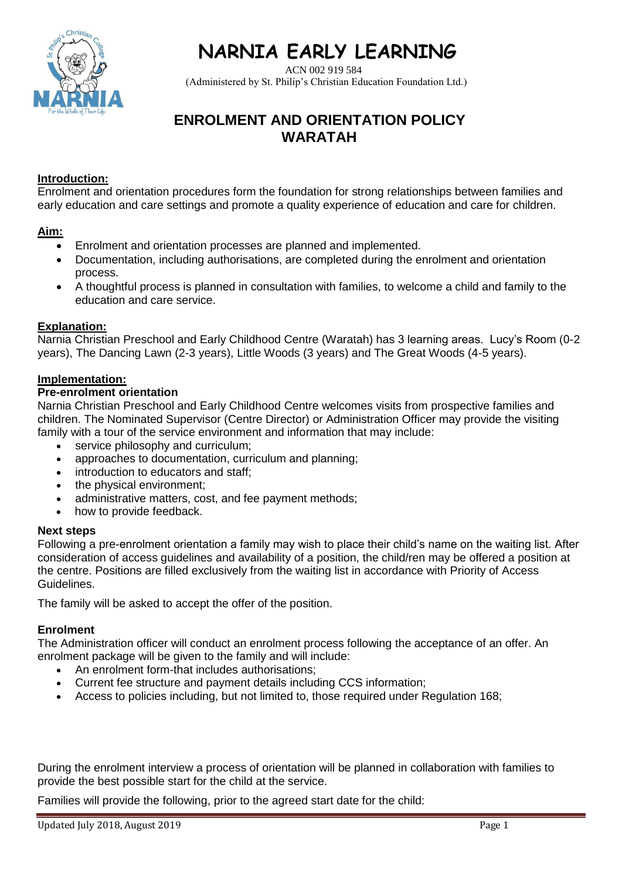# **NARNIA EARLY LEARNING**

ACN 002 919 584

 $Christi$ 

# (Administered by St. Philip's Christian Education Foundation Ltd.)

# **ENROLMENT AND ORIENTATION POLICY WARATAH**

# **Introduction:**

Enrolment and orientation procedures form the foundation for strong relationships between families and early education and care settings and promote a quality experience of education and care for children.

# **Aim:**

- Enrolment and orientation processes are planned and implemented.
- Documentation, including authorisations, are completed during the enrolment and orientation process.
- A thoughtful process is planned in consultation with families, to welcome a child and family to the education and care service.

## **Explanation:**

Narnia Christian Preschool and Early Childhood Centre (Waratah) has 3 learning areas. Lucy's Room (0-2 years), The Dancing Lawn (2-3 years), Little Woods (3 years) and The Great Woods (4-5 years).

#### **Implementation:**

#### **Pre-enrolment orientation**

Narnia Christian Preschool and Early Childhood Centre welcomes visits from prospective families and children. The Nominated Supervisor (Centre Director) or Administration Officer may provide the visiting family with a tour of the service environment and information that may include:

- service philosophy and curriculum;
- approaches to documentation, curriculum and planning;
- introduction to educators and staff;
- the physical environment;
- administrative matters, cost, and fee payment methods;
- how to provide feedback.

## **Next steps**

Following a pre-enrolment orientation a family may wish to place their child's name on the waiting list. After consideration of access guidelines and availability of a position, the child/ren may be offered a position at the centre. Positions are filled exclusively from the waiting list in accordance with Priority of Access Guidelines.

The family will be asked to accept the offer of the position.

## **Enrolment**

The Administration officer will conduct an enrolment process following the acceptance of an offer. An enrolment package will be given to the family and will include:

- An enrolment form-that includes authorisations;
- Current fee structure and payment details including CCS information;
- Access to policies including, but not limited to, those required under Regulation 168;

During the enrolment interview a process of orientation will be planned in collaboration with families to provide the best possible start for the child at the service.

Families will provide the following, prior to the agreed start date for the child: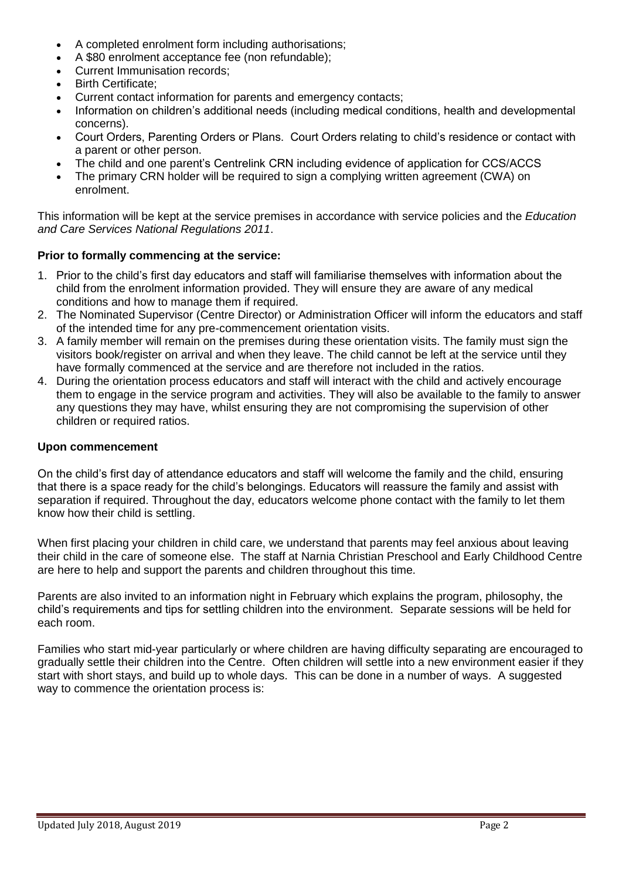- A completed enrolment form including authorisations;
- A \$80 enrolment acceptance fee (non refundable);
- Current Immunisation records;
- Birth Certificate;
- Current contact information for parents and emergency contacts;
- Information on children's additional needs (including medical conditions, health and developmental concerns).
- Court Orders, Parenting Orders or Plans. Court Orders relating to child's residence or contact with a parent or other person.
- The child and one parent's Centrelink CRN including evidence of application for CCS/ACCS
- The primary CRN holder will be required to sign a complying written agreement (CWA) on enrolment.

This information will be kept at the service premises in accordance with service policies and the *Education and Care Services National Regulations 2011*.

#### **Prior to formally commencing at the service:**

- 1. Prior to the child's first day educators and staff will familiarise themselves with information about the child from the enrolment information provided. They will ensure they are aware of any medical conditions and how to manage them if required.
- 2. The Nominated Supervisor (Centre Director) or Administration Officer will inform the educators and staff of the intended time for any pre-commencement orientation visits.
- 3. A family member will remain on the premises during these orientation visits. The family must sign the visitors book/register on arrival and when they leave. The child cannot be left at the service until they have formally commenced at the service and are therefore not included in the ratios.
- 4. During the orientation process educators and staff will interact with the child and actively encourage them to engage in the service program and activities. They will also be available to the family to answer any questions they may have, whilst ensuring they are not compromising the supervision of other children or required ratios.

#### **Upon commencement**

On the child's first day of attendance educators and staff will welcome the family and the child, ensuring that there is a space ready for the child's belongings. Educators will reassure the family and assist with separation if required. Throughout the day, educators welcome phone contact with the family to let them know how their child is settling.

When first placing your children in child care, we understand that parents may feel anxious about leaving their child in the care of someone else. The staff at Narnia Christian Preschool and Early Childhood Centre are here to help and support the parents and children throughout this time.

Parents are also invited to an information night in February which explains the program, philosophy, the child's requirements and tips for settling children into the environment. Separate sessions will be held for each room.

Families who start mid-year particularly or where children are having difficulty separating are encouraged to gradually settle their children into the Centre. Often children will settle into a new environment easier if they start with short stays, and build up to whole days. This can be done in a number of ways. A suggested way to commence the orientation process is: